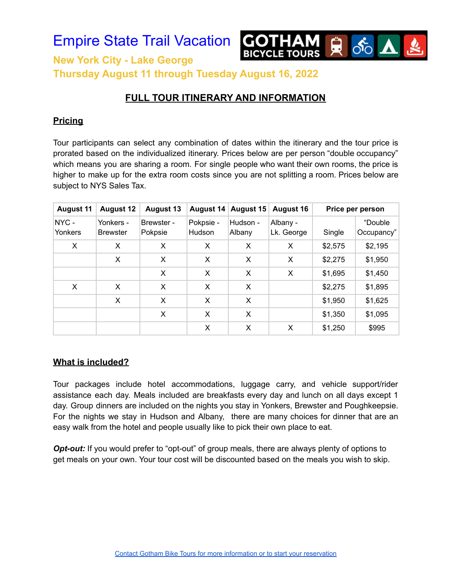

**Thursday August 11 through Tuesday August 16, 2022**

# **FULL TOUR ITINERARY AND INFORMATION**

#### **Pricing**

Tour participants can select any combination of dates within the itinerary and the tour price is prorated based on the individualized itinerary. Prices below are per person "double occupancy" which means you are sharing a room. For single people who want their own rooms, the price is higher to make up for the extra room costs since you are not splitting a room. Prices below are subject to NYS Sales Tax.

| <b>August 11</b> | <b>August 12</b>             | <b>August 13</b>      | <b>August 14</b>    | <b>August 15</b>   | <b>August 16</b>       | Price per person |                       |
|------------------|------------------------------|-----------------------|---------------------|--------------------|------------------------|------------------|-----------------------|
| NYC-<br>Yonkers  | Yonkers -<br><b>Brewster</b> | Brewster -<br>Pokpsie | Pokpsie -<br>Hudson | Hudson -<br>Albany | Albany -<br>Lk. George | Single           | "Double<br>Occupancy" |
| X                | X                            | X                     | X                   | X                  | X                      | \$2,575          | \$2,195               |
|                  | X                            | X                     | X                   | X                  | X                      | \$2,275          | \$1,950               |
|                  |                              | X                     | X                   | X                  | X                      | \$1,695          | \$1,450               |
| X                | X                            | X                     | X                   | X                  |                        | \$2,275          | \$1,895               |
|                  | X                            | X                     | X                   | X                  |                        | \$1,950          | \$1,625               |
|                  |                              | X                     | X                   | X                  |                        | \$1,350          | \$1,095               |
|                  |                              |                       | X                   | X                  | X                      | \$1,250          | \$995                 |

#### **What is included?**

Tour packages include hotel accommodations, luggage carry, and vehicle support/rider assistance each day. Meals included are breakfasts every day and lunch on all days except 1 day. Group dinners are included on the nights you stay in Yonkers, Brewster and Poughkeepsie. For the nights we stay in Hudson and Albany, there are many choices for dinner that are an easy walk from the hotel and people usually like to pick their own place to eat.

*Opt-out:* If you would prefer to "opt-out" of group meals, there are always plenty of options to get meals on your own. Your tour cost will be discounted based on the meals you wish to skip.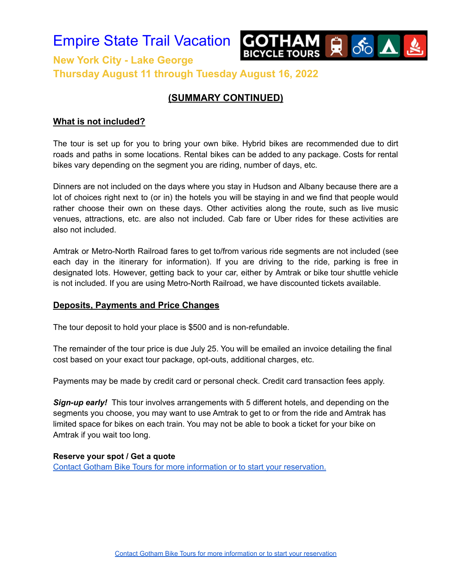

## **(SUMMARY CONTINUED)**

#### **What is not included?**

The tour is set up for you to bring your own bike. Hybrid bikes are recommended due to dirt roads and paths in some locations. Rental bikes can be added to any package. Costs for rental bikes vary depending on the segment you are riding, number of days, etc.

Dinners are not included on the days where you stay in Hudson and Albany because there are a lot of choices right next to (or in) the hotels you will be staying in and we find that people would rather choose their own on these days. Other activities along the route, such as live music venues, attractions, etc. are also not included. Cab fare or Uber rides for these activities are also not included.

Amtrak or Metro-North Railroad fares to get to/from various ride segments are not included (see each day in the itinerary for information). If you are driving to the ride, parking is free in designated lots. However, getting back to your car, either by Amtrak or bike tour shuttle vehicle is not included. If you are using Metro-North Railroad, we have discounted tickets available.

#### **Deposits, Payments and Price Changes**

The tour deposit to hold your place is \$500 and is non-refundable.

The remainder of the tour price is due July 25. You will be emailed an invoice detailing the final cost based on your exact tour package, opt-outs, additional charges, etc.

Payments may be made by credit card or personal check. Credit card transaction fees apply.

**Sign-up early!** This tour involves arrangements with 5 different hotels, and depending on the segments you choose, you may want to use Amtrak to get to or from the ride and Amtrak has limited space for bikes on each train. You may not be able to book a ticket for your bike on Amtrak if you wait too long.

#### **Reserve your spot / Get a quote**

Contact Gotham Bike Tours for more information or to start your [reservation.](https://forms.gle/9dtqeYvJbmj6AoUo6)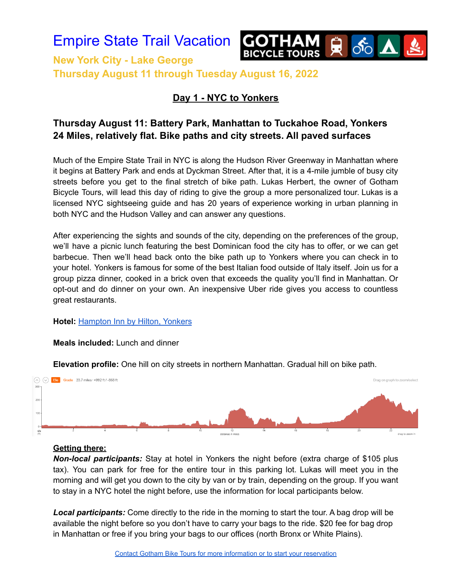

**New York City - Lake George Thursday August 11 through Tuesday August 16, 2022**

## **Day 1 - NYC to Yonkers**

# **Thursday August 11: Battery Park, Manhattan to Tuckahoe Road, Yonkers 24 Miles, relatively flat. Bike paths and city streets. All paved surfaces**

Much of the Empire State Trail in NYC is along the Hudson River Greenway in Manhattan where it begins at Battery Park and ends at Dyckman Street. After that, it is a 4-mile jumble of busy city streets before you get to the final stretch of bike path. Lukas Herbert, the owner of Gotham Bicycle Tours, will lead this day of riding to give the group a more personalized tour. Lukas is a licensed NYC sightseeing guide and has 20 years of experience working in urban planning in both NYC and the Hudson Valley and can answer any questions.

After experiencing the sights and sounds of the city, depending on the preferences of the group, we'll have a picnic lunch featuring the best Dominican food the city has to offer, or we can get barbecue. Then we'll head back onto the bike path up to Yonkers where you can check in to your hotel. Yonkers is famous for some of the best Italian food outside of Italy itself. Join us for a group pizza dinner, cooked in a brick oven that exceeds the quality you'll find in Manhattan. Or opt-out and do dinner on your own. An inexpensive Uber ride gives you access to countless great restaurants.

#### **Hotel:** [Hampton](https://www.hilton.com/en/hotels/nycynhx-hampton-suites-yonkers/) Inn by Hilton, Yonkers

#### **Meals included:** Lunch and dinner

**Elevation profile:** One hill on city streets in northern Manhattan. Gradual hill on bike path.



#### **Getting there:**

*Non-local participants:* Stay at hotel in Yonkers the night before (extra charge of \$105 plus tax). You can park for free for the entire tour in this parking lot. Lukas will meet you in the morning and will get you down to the city by van or by train, depending on the group. If you want to stay in a NYC hotel the night before, use the information for local participants below.

*Local participants:* Come directly to the ride in the morning to start the tour. A bag drop will be available the night before so you don't have to carry your bags to the ride. \$20 fee for bag drop in Manhattan or free if you bring your bags to our offices (north Bronx or White Plains).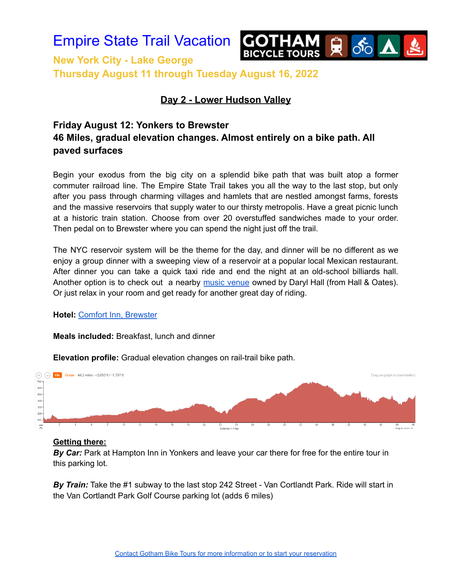

**New York City - Lake George Thursday August 11 through Tuesday August 16, 2022**

### **Day 2 - Lower Hudson Valley**

# **Friday August 12: Yonkers to Brewster 46 Miles, gradual elevation changes. Almost entirely on a bike path. All paved surfaces**

Begin your exodus from the big city on a splendid bike path that was built atop a former commuter railroad line. The Empire State Trail takes you all the way to the last stop, but only after you pass through charming villages and hamlets that are nestled amongst farms, forests and the massive reservoirs that supply water to our thirsty metropolis. Have a great picnic lunch at a historic train station. Choose from over 20 overstuffed sandwiches made to your order. Then pedal on to Brewster where you can spend the night just off the trail.

The NYC reservoir system will be the theme for the day, and dinner will be no different as we enjoy a group dinner with a sweeping view of a reservoir at a popular local Mexican restaurant. After dinner you can take a quick taxi ride and end the night at an old-school billiards hall. Another option is to check out a nearby music [venue](https://www.darylshouseclub.com/) owned by Daryl Hall (from Hall & Oates). Or just relax in your room and get ready for another great day of riding.

#### **Hotel:** Comfort Inn, [Brewster](https://www.choicehotels.com/new-york/brewster/comfort-inn-hotels/ny764)

#### **Meals included:** Breakfast, lunch and dinner



**Elevation profile:** Gradual elevation changes on rail-trail bike path.

#### **Getting there:**

*By Car:* Park at Hampton Inn in Yonkers and leave your car there for free for the entire tour in this parking lot.

*By Train:* Take the #1 subway to the last stop 242 Street - Van Cortlandt Park. Ride will start in the Van Cortlandt Park Golf Course parking lot (adds 6 miles)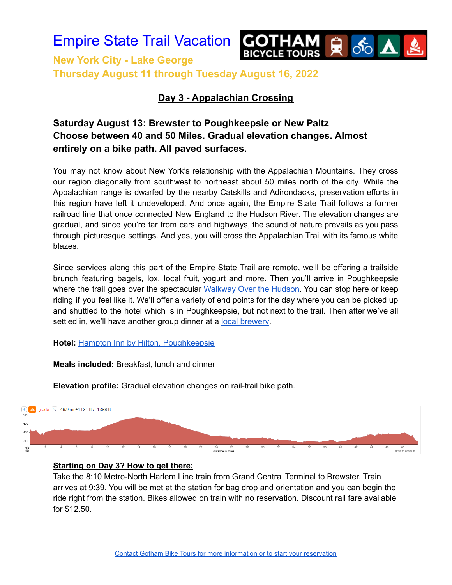



**New York City - Lake George Thursday August 11 through Tuesday August 16, 2022**

### **Day 3 - Appalachian Crossing**

# **Saturday August 13: Brewster to Poughkeepsie or New Paltz Choose between 40 and 50 Miles. Gradual elevation changes. Almost entirely on a bike path. All paved surfaces.**

You may not know about New York's relationship with the Appalachian Mountains. They cross our region diagonally from southwest to northeast about 50 miles north of the city. While the Appalachian range is dwarfed by the nearby Catskills and Adirondacks, preservation efforts in this region have left it undeveloped. And once again, the Empire State Trail follows a former railroad line that once connected New England to the Hudson River. The elevation changes are gradual, and since you're far from cars and highways, the sound of nature prevails as you pass through picturesque settings. And yes, you will cross the Appalachian Trail with its famous white blazes.

Since services along this part of the Empire State Trail are remote, we'll be offering a trailside brunch featuring bagels, lox, local fruit, yogurt and more. Then you'll arrive in Poughkeepsie where the trail goes over the spectacular [Walkway](https://walkway.org/) Over the Hudson. You can stop here or keep riding if you feel like it. We'll offer a variety of end points for the day where you can be picked up and shuttled to the hotel which is in Poughkeepsie, but not next to the trail. Then after we've all settled in, we'll have another group dinner at a local [brewery.](https://www.millhousebrewing.com/)

#### **Hotel:** Hampton Inn by Hilton, [Poughkeepsie](https://www.hilton.com/en/hotels/pounyhx-hampton-suites-poughkeepsie/)

**Meals included:** Breakfast, lunch and dinner

**Elevation profile:** Gradual elevation changes on rail-trail bike path.



#### **Starting on Day 3? How to get there:**

Take the 8:10 Metro-North Harlem Line train from Grand Central Terminal to Brewster. Train arrives at 9:39. You will be met at the station for bag drop and orientation and you can begin the ride right from the station. Bikes allowed on train with no reservation. Discount rail fare available for \$12.50.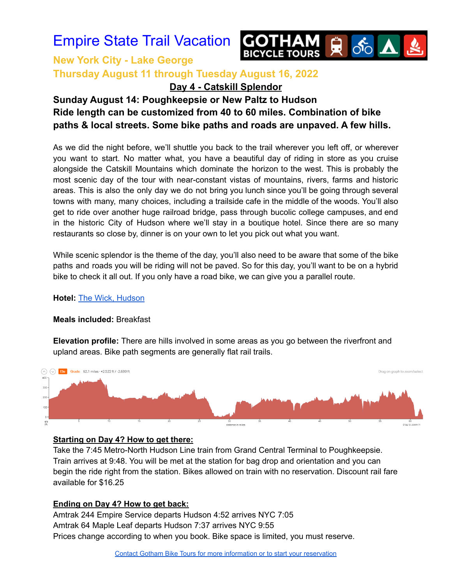

# **New York City - Lake George Thursday August 11 through Tuesday August 16, 2022**

**Day 4 - Catskill Splendor**

# **Sunday August 14: Poughkeepsie or New Paltz to Hudson Ride length can be customized from 40 to 60 miles. Combination of bike paths & local streets. Some bike paths and roads are unpaved. A few hills.**

As we did the night before, we'll shuttle you back to the trail wherever you left off, or wherever you want to start. No matter what, you have a beautiful day of riding in store as you cruise alongside the Catskill Mountains which dominate the horizon to the west. This is probably the most scenic day of the tour with near-constant vistas of mountains, rivers, farms and historic areas. This is also the only day we do not bring you lunch since you'll be going through several towns with many, many choices, including a trailside cafe in the middle of the woods. You'll also get to ride over another huge railroad bridge, pass through bucolic college campuses, and end in the historic City of Hudson where we'll stay in a boutique hotel. Since there are so many restaurants so close by, dinner is on your own to let you pick out what you want.

While scenic splendor is the theme of the day, you'll also need to be aware that some of the bike paths and roads you will be riding will not be paved. So for this day, you'll want to be on a hybrid bike to check it all out. If you only have a road bike, we can give you a parallel route.

#### **Hotel:** The Wick, [Hudson](https://www.thewickhotel.com/)

#### **Meals included:** Breakfast

**Elevation profile:** There are hills involved in some areas as you go between the riverfront and upland areas. Bike path segments are generally flat rail trails.



#### **Starting on Day 4? How to get there:**

Take the 7:45 Metro-North Hudson Line train from Grand Central Terminal to Poughkeepsie. Train arrives at 9:48. You will be met at the station for bag drop and orientation and you can begin the ride right from the station. Bikes allowed on train with no reservation. Discount rail fare available for \$16.25

#### **Ending on Day 4? How to get back:**

Amtrak 244 Empire Service departs Hudson 4:52 arrives NYC 7:05 Amtrak 64 Maple Leaf departs Hudson 7:37 arrives NYC 9:55 Prices change according to when you book. Bike space is limited, you must reserve.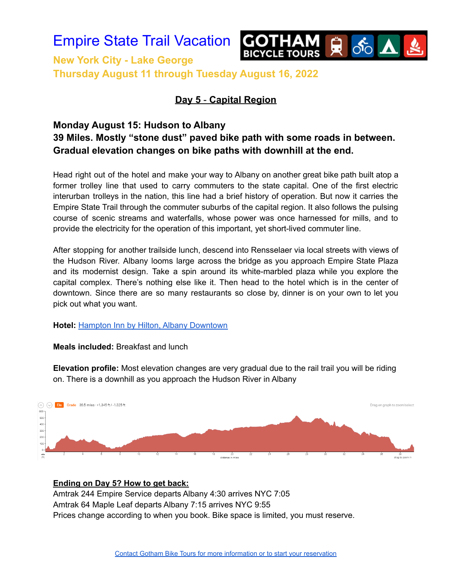

**New York City - Lake George Thursday August 11 through Tuesday August 16, 2022**

## **Day 5** - **Capital Region**

# **Monday August 15: Hudson to Albany 39 Miles. Mostly "stone dust" paved bike path with some roads in between. Gradual elevation changes on bike paths with downhill at the end.**

Head right out of the hotel and make your way to Albany on another great bike path built atop a former trolley line that used to carry commuters to the state capital. One of the first electric interurban trolleys in the nation, this line had a brief history of operation. But now it carries the Empire State Trail through the commuter suburbs of the capital region. It also follows the pulsing course of scenic streams and waterfalls, whose power was once harnessed for mills, and to provide the electricity for the operation of this important, yet short-lived commuter line.

After stopping for another trailside lunch, descend into Rensselaer via local streets with views of the Hudson River. Albany looms large across the bridge as you approach Empire State Plaza and its modernist design. Take a spin around its white-marbled plaza while you explore the capital complex. There's nothing else like it. Then head to the hotel which is in the center of downtown. Since there are so many restaurants so close by, dinner is on your own to let you pick out what you want.

**Hotel:** Hampton Inn by Hilton, Albany [Downtown](https://www.hilton.com/en/hotels/albhshx-hampton-suites-albany-downtown/)

**Meals included:** Breakfast and lunch

**Elevation profile:** Most elevation changes are very gradual due to the rail trail you will be riding on. There is a downhill as you approach the Hudson River in Albany



**Ending on Day 5? How to get back:** Amtrak 244 Empire Service departs Albany 4:30 arrives NYC 7:05 Amtrak 64 Maple Leaf departs Albany 7:15 arrives NYC 9:55 Prices change according to when you book. Bike space is limited, you must reserve.